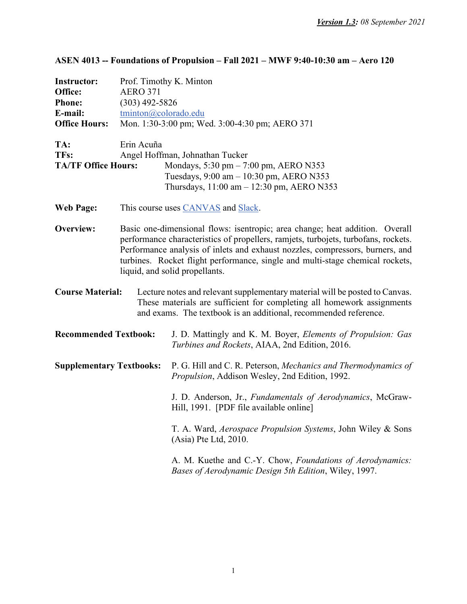| <b>Instructor:</b>                        | Prof. Timothy K. Minton                                                                                                                                                                                                                                                                                                                                                |                                                                                                                                                                                                                           |  |
|-------------------------------------------|------------------------------------------------------------------------------------------------------------------------------------------------------------------------------------------------------------------------------------------------------------------------------------------------------------------------------------------------------------------------|---------------------------------------------------------------------------------------------------------------------------------------------------------------------------------------------------------------------------|--|
| Office:                                   | <b>AERO 371</b>                                                                                                                                                                                                                                                                                                                                                        |                                                                                                                                                                                                                           |  |
| <b>Phone:</b>                             | $(303)$ 492-5826                                                                                                                                                                                                                                                                                                                                                       |                                                                                                                                                                                                                           |  |
| E-mail:                                   | tminton@colorado.edu                                                                                                                                                                                                                                                                                                                                                   |                                                                                                                                                                                                                           |  |
| <b>Office Hours:</b>                      | Mon. 1:30-3:00 pm; Wed. 3:00-4:30 pm; AERO 371                                                                                                                                                                                                                                                                                                                         |                                                                                                                                                                                                                           |  |
| TA:<br>TFs:<br><b>TA/TF Office Hours:</b> | Erin Acuña                                                                                                                                                                                                                                                                                                                                                             | Angel Hoffman, Johnathan Tucker<br>Mondays, 5:30 pm – 7:00 pm, AERO N353<br>Tuesdays, 9:00 am - 10:30 pm, AERO N353<br>Thursdays, $11:00$ am $-12:30$ pm, AERO N353                                                       |  |
| <b>Web Page:</b>                          | This course uses CANVAS and Slack.                                                                                                                                                                                                                                                                                                                                     |                                                                                                                                                                                                                           |  |
| Overview:                                 | Basic one-dimensional flows: isentropic; area change; heat addition. Overall<br>performance characteristics of propellers, ramjets, turbojets, turbofans, rockets.<br>Performance analysis of inlets and exhaust nozzles, compressors, burners, and<br>turbines. Rocket flight performance, single and multi-stage chemical rockets,<br>liquid, and solid propellants. |                                                                                                                                                                                                                           |  |
| <b>Course Material:</b>                   |                                                                                                                                                                                                                                                                                                                                                                        | Lecture notes and relevant supplementary material will be posted to Canvas.<br>These materials are sufficient for completing all homework assignments<br>and exams. The textbook is an additional, recommended reference. |  |
| <b>Recommended Textbook:</b>              |                                                                                                                                                                                                                                                                                                                                                                        | J. D. Mattingly and K. M. Boyer, Elements of Propulsion: Gas<br>Turbines and Rockets, AIAA, 2nd Edition, 2016.                                                                                                            |  |
| <b>Supplementary Textbooks:</b>           |                                                                                                                                                                                                                                                                                                                                                                        | P. G. Hill and C. R. Peterson, Mechanics and Thermodynamics of<br>Propulsion, Addison Wesley, 2nd Edition, 1992.                                                                                                          |  |
|                                           |                                                                                                                                                                                                                                                                                                                                                                        | J. D. Anderson, Jr., Fundamentals of Aerodynamics, McGraw-<br>Hill, 1991. [PDF file available online]                                                                                                                     |  |
|                                           |                                                                                                                                                                                                                                                                                                                                                                        | T. A. Ward, Aerospace Propulsion Systems, John Wiley & Sons<br>(Asia) Pte Ltd, 2010.                                                                                                                                      |  |
|                                           |                                                                                                                                                                                                                                                                                                                                                                        | A. M. Kuethe and C.-Y. Chow, Foundations of Aerodynamics:<br>Bases of Aerodynamic Design 5th Edition, Wiley, 1997.                                                                                                        |  |

## **ASEN 4013 -- Foundations of Propulsion – Fall 2021 – MWF 9:40-10:30 am – Aero 120**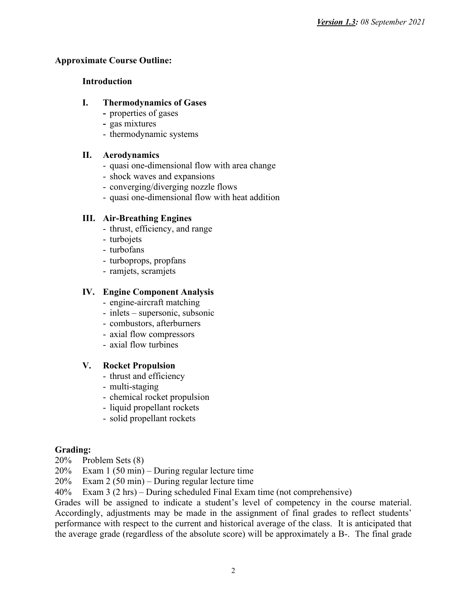## **Approximate Course Outline:**

## **Introduction**

## **I. Thermodynamics of Gases**

- **-** properties of gases
- **-** gas mixtures
- thermodynamic systems

## **II. Aerodynamics**

- quasi one-dimensional flow with area change
- shock waves and expansions
- converging/diverging nozzle flows
- quasi one-dimensional flow with heat addition

## **III. Air-Breathing Engines**

- thrust, efficiency, and range
- turbojets
- turbofans
- turboprops, propfans
- ramjets, scramjets

## **IV. Engine Component Analysis**

- engine-aircraft matching
- inlets supersonic, subsonic
- combustors, afterburners
- axial flow compressors
- axial flow turbines

## **V. Rocket Propulsion**

- thrust and efficiency
- multi-staging
- chemical rocket propulsion
- liquid propellant rockets
- solid propellant rockets

## **Grading:**

- 20% Problem Sets (8)
- 20% Exam 1 (50 min) During regular lecture time

20% Exam 2 (50 min) – During regular lecture time

40% Exam 3 (2 hrs) – During scheduled Final Exam time (not comprehensive)

Grades will be assigned to indicate a student's level of competency in the course material. Accordingly, adjustments may be made in the assignment of final grades to reflect students' performance with respect to the current and historical average of the class. It is anticipated that the average grade (regardless of the absolute score) will be approximately a B-. The final grade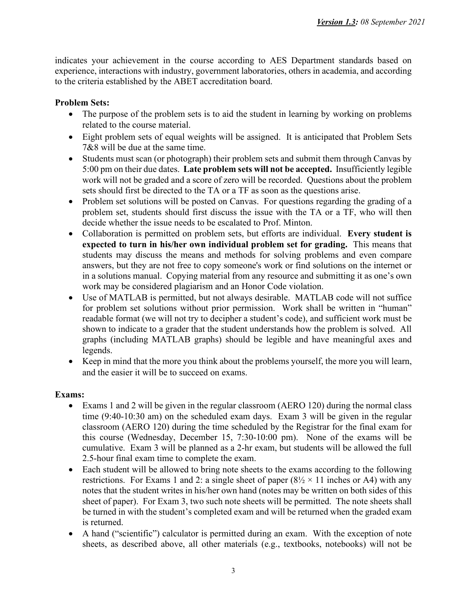indicates your achievement in the course according to AES Department standards based on experience, interactions with industry, government laboratories, others in academia, and according to the criteria established by the ABET accreditation board.

## **Problem Sets:**

- The purpose of the problem sets is to aid the student in learning by working on problems related to the course material.
- Eight problem sets of equal weights will be assigned. It is anticipated that Problem Sets 7&8 will be due at the same time.
- Students must scan (or photograph) their problem sets and submit them through Canvas by 5:00 pm on their due dates. **Late problem sets will not be accepted.** Insufficiently legible work will not be graded and a score of zero will be recorded. Questions about the problem sets should first be directed to the TA or a TF as soon as the questions arise.
- Problem set solutions will be posted on Canvas. For questions regarding the grading of a problem set, students should first discuss the issue with the TA or a TF, who will then decide whether the issue needs to be escalated to Prof. Minton.
- Collaboration is permitted on problem sets, but efforts are individual. **Every student is expected to turn in his/her own individual problem set for grading.** This means that students may discuss the means and methods for solving problems and even compare answers, but they are not free to copy someone's work or find solutions on the internet or in a solutions manual. Copying material from any resource and submitting it as one's own work may be considered plagiarism and an Honor Code violation.
- Use of MATLAB is permitted, but not always desirable. MATLAB code will not suffice for problem set solutions without prior permission. Work shall be written in "human" readable format (we will not try to decipher a student's code), and sufficient work must be shown to indicate to a grader that the student understands how the problem is solved. All graphs (including MATLAB graphs) should be legible and have meaningful axes and legends.
- Keep in mind that the more you think about the problems yourself, the more you will learn, and the easier it will be to succeed on exams.

## **Exams:**

- Exams 1 and 2 will be given in the regular classroom (AERO 120) during the normal class time (9:40-10:30 am) on the scheduled exam days. Exam 3 will be given in the regular classroom (AERO 120) during the time scheduled by the Registrar for the final exam for this course (Wednesday, December 15, 7:30-10:00 pm). None of the exams will be cumulative. Exam 3 will be planned as a 2-hr exam, but students will be allowed the full 2.5-hour final exam time to complete the exam.
- Each student will be allowed to bring note sheets to the exams according to the following restrictions. For Exams 1 and 2: a single sheet of paper  $(8\frac{1}{2} \times 11)$  inches or A4) with any notes that the student writes in his/her own hand (notes may be written on both sides of this sheet of paper). For Exam 3, two such note sheets will be permitted. The note sheets shall be turned in with the student's completed exam and will be returned when the graded exam is returned.
- A hand ("scientific") calculator is permitted during an exam. With the exception of note sheets, as described above, all other materials (e.g., textbooks, notebooks) will not be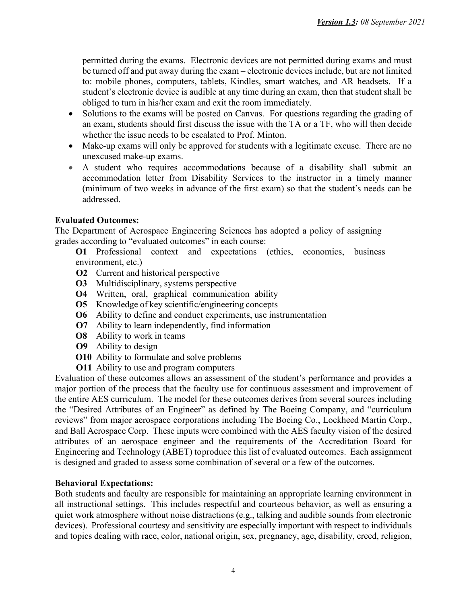permitted during the exams. Electronic devices are not permitted during exams and must be turned off and put away during the exam – electronic devices include, but are not limited to: mobile phones, computers, tablets, Kindles, smart watches, and AR headsets. If a student's electronic device is audible at any time during an exam, then that student shall be obliged to turn in his/her exam and exit the room immediately.

- Solutions to the exams will be posted on Canvas. For questions regarding the grading of an exam, students should first discuss the issue with the TA or a TF, who will then decide whether the issue needs to be escalated to Prof. Minton.
- Make-up exams will only be approved for students with a legitimate excuse. There are no unexcused make-up exams.
- A student who requires accommodations because of a disability shall submit an accommodation letter from Disability Services to the instructor in a timely manner (minimum of two weeks in advance of the first exam) so that the student's needs can be addressed.

## **Evaluated Outcomes:**

The Department of Aerospace Engineering Sciences has adopted a policy of assigning grades according to "evaluated outcomes" in each course:

- **O1** Professional context and expectations (ethics, economics, business environment, etc.)
- **O2** Current and historical perspective
- **O3** Multidisciplinary, systems perspective
- **O4** Written, oral, graphical communication ability
- **O5** Knowledge of key scientific/engineering concepts
- **O6** Ability to define and conduct experiments, use instrumentation
- **O7** Ability to learn independently, find information
- **O8** Ability to work in teams
- **O9** Ability to design
- **O10** Ability to formulate and solve problems
- **O11** Ability to use and program computers

Evaluation of these outcomes allows an assessment of the student's performance and provides a major portion of the process that the faculty use for continuous assessment and improvement of the entire AES curriculum. The model for these outcomes derives from several sources including the "Desired Attributes of an Engineer" as defined by The Boeing Company, and "curriculum reviews" from major aerospace corporations including The Boeing Co., Lockheed Martin Corp., and Ball Aerospace Corp. These inputs were combined with the AES faculty vision of the desired attributes of an aerospace engineer and the requirements of the Accreditation Board for Engineering and Technology (ABET) toproduce this list of evaluated outcomes. Each assignment is designed and graded to assess some combination of several or a few of the outcomes.

## **Behavioral Expectations:**

Both students and faculty are responsible for maintaining an appropriate learning environment in all instructional settings. This includes respectful and courteous behavior, as well as ensuring a quiet work atmosphere without noise distractions (e.g., talking and audible sounds from electronic devices). Professional courtesy and sensitivity are especially important with respect to individuals and topics dealing with race, color, national origin, sex, pregnancy, age, disability, creed, religion,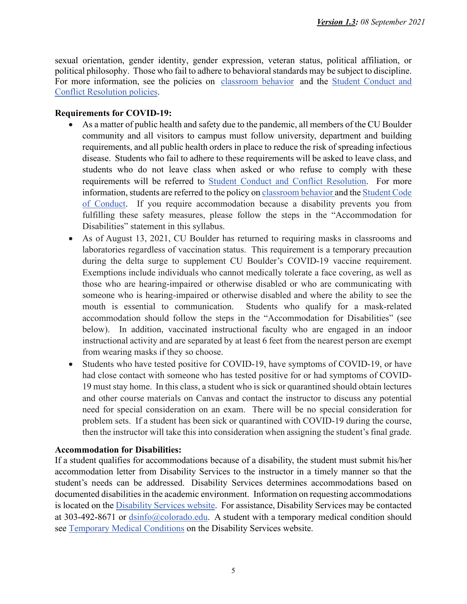sexual orientation, gender identity, gender expression, veteran status, political affiliation, or political philosophy. Those who fail to adhere to behavioral standards may be subject to discipline. For more information, see the policies on [classroom behavior](http://www.colorado.edu/policies/student-classroom-and-course-related-behavior) and the Student Conduct and Conflict Resolution policies.

#### **Requirements for COVID-19:**

- As a matter of public health and safety due to the pandemic, all members of the CU Boulder community and all visitors to campus must follow university, department and building requirements, and all public health orders in place to reduce the risk of spreading infectious disease. Students who fail to adhere to these requirements will be asked to leave class, and students who do not leave class when asked or who refuse to comply with these requirements will be referred t[o](https://www.colorado.edu/sccr/) [Student Conduct and Conflict Resolution.](https://www.colorado.edu/sccr/) For more information, students are referred to the policy o[n](https://www.colorado.edu/policies/covid-19-health-and-safety-policy) [classroom behavior](http://www.colorado.edu/policies/student-classroom-and-course-related-behavior) and the [Student Code](http://www.colorado.edu/osccr/)  [of Conduct.](http://www.colorado.edu/osccr/) If you require accommodation because a disability prevents you from fulfilling these safety measures, please follow the steps in the "Accommodation for Disabilities" statement in this syllabus.
- As of August 13, 2021, CU Boulder has returned to requiring masks in classrooms and laboratories regardless of vaccination status. This requirement is a temporary precaution during the delta surge to supplement CU Boulder's COVID-19 vaccine requirement. Exemptions include individuals who cannot medically tolerate a face covering, as well as those who are hearing-impaired or otherwise disabled or who are communicating with someone who is hearing-impaired or otherwise disabled and where the ability to see the mouth is essential to communication. Students who qualify for a mask-related accommodation should follow the steps in the "Accommodation for Disabilities" (see below). In addition, vaccinated instructional faculty who are engaged in an indoor instructional activity and are separated by at least 6 feet from the nearest person are exempt from wearing masks if they so choose.
- Students who have tested positive for COVID-19, have symptoms of COVID-19, or have had close contact with someone who has tested positive for or had symptoms of COVID-19 must stay home. In this class, a student who issick or quarantined should obtain lectures and other course materials on Canvas and contact the instructor to discuss any potential need for special consideration on an exam. There will be no special consideration for problem sets. If a student has been sick or quarantined with COVID-19 during the course, then the instructor will take this into consideration when assigning the student's final grade.

## **Accommodation for Disabilities:**

If a student qualifies for accommodations because of a disability, the student must submit his/her accommodation letter from Disability Services to the instructor in a timely manner so that the student's needs can be addressed. Disability Services determines accommodations based on documented disabilities in the academic environment. Information on requesting accommodations is located on the [Disability Services website.](https://www.colorado.edu/disabilityservices/) For assistance, Disability Services may be contacted at 303-492-8671 or [dsinfo@colorado.edu.](mailto:dsinfo@colorado.edu) A student with a temporary medical condition should see [Temporary Medical Conditions](http://www.colorado.edu/disabilityservices/students/temporary-medical-conditions) on the Disability Services website.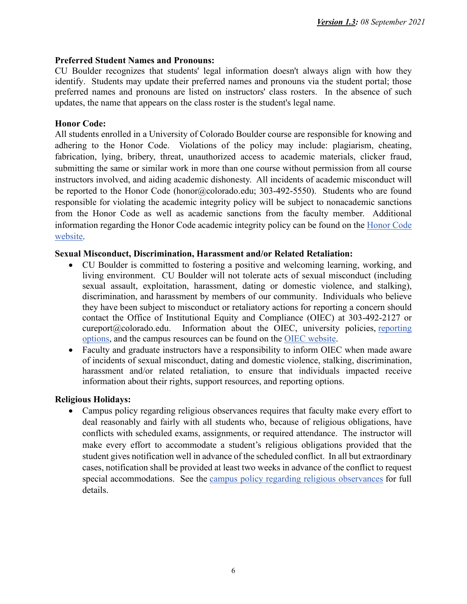#### **Preferred Student Names and Pronouns:**

CU Boulder recognizes that students' legal information doesn't always align with how they identify. Students may update their preferred names and pronouns via the student portal; those preferred names and pronouns are listed on instructors' class rosters. In the absence of such updates, the name that appears on the class roster is the student's legal name.

#### **Honor Code:**

All students enrolled in a University of Colorado Boulder course are responsible for knowing and adhering to the Honor Code. Violations of the policy may include: plagiarism, cheating, fabrication, lying, bribery, threat, unauthorized access to academic materials, clicker fraud, submitting the same or similar work in more than one course without permission from all course instructors involved, and aiding academic dishonesty. All incidents of academic misconduct will be reported to the Honor Code (honor@colorado.edu; 303-492-5550). Students who are found responsible for violating the academic integrity policy will be subject to nonacademic sanctions from the Honor Code as well as academic sanctions from the faculty member. Additional information regarding the Honor Code academic integrity policy can be found on the [Honor Code](https://www.colorado.edu/sccr/honor-code-faculty-and-staff)  [website.](https://www.colorado.edu/sccr/honor-code-faculty-and-staff)

#### **Sexual Misconduct, Discrimination, Harassment and/or Related Retaliation:**

- CU Boulder is committed to fostering a positive and welcoming learning, working, and living environment. CU Boulder will not tolerate acts of sexual misconduct (including sexual assault, exploitation, harassment, dating or domestic violence, and stalking), discrimination, and harassment by members of our community. Individuals who believe they have been subject to misconduct or retaliatory actions for reporting a concern should contact the Office of Institutional Equity and Compliance (OIEC) at 303-492-2127 or  $cureport@colorado.edu.$  Information about the OIEC, university policies, [reporting](https://www.colorado.edu/oiec/reporting-resolutions/making-report) options, and the campus resources can be found on the [OIEC website.](http://www.colorado.edu/institutionalequity/)
- Faculty and graduate instructors have a responsibility to inform OIEC when made aware of incidents of sexual misconduct, dating and domestic violence, stalking, discrimination, harassment and/or related retaliation, to ensure that individuals impacted receive information about their rights, support resources, and reporting options.

## **Religious Holidays:**

• Campus policy regarding religious observances requires that faculty make every effort to deal reasonably and fairly with all students who, because of religious obligations, have conflicts with scheduled exams, assignments, or required attendance. The instructor will make every effort to accommodate a student's religious obligations provided that the student gives notification well in advance of the scheduled conflict. In all but extraordinary cases, notification shall be provided at least two weeks in advance of the conflict to request special accommodations. See the [campus policy regarding religious observances](http://www.colorado.edu/policies/observance-religious-holidays-and-absences-classes-andor-exams) for full details.